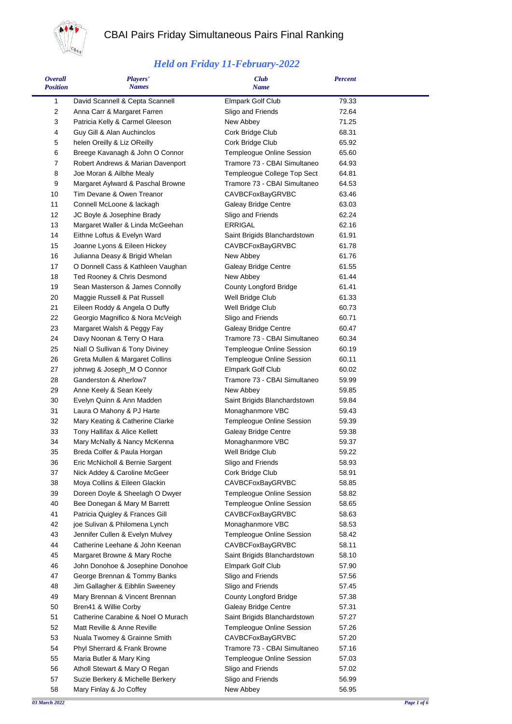

Ē.

## CBAI Pairs Friday Simultaneous Pairs Final Ranking

## *Held on Friday 11-February-2022*

| <i><b>Overall</b></i><br><b>Position</b> | <b>Players'</b><br><b>Names</b>                                 | <b>Club</b><br>Name                                    | <b>Percent</b> |  |
|------------------------------------------|-----------------------------------------------------------------|--------------------------------------------------------|----------------|--|
| 1                                        | David Scannell & Cepta Scannell                                 | Elmpark Golf Club                                      | 79.33          |  |
| $\overline{2}$                           | Anna Carr & Margaret Farren                                     | Sligo and Friends                                      | 72.64          |  |
| 3                                        | Patricia Kelly & Carmel Gleeson                                 | New Abbey                                              | 71.25          |  |
| 4                                        | Guy Gill & Alan Auchinclos                                      | Cork Bridge Club                                       | 68.31          |  |
| 5                                        | helen Oreilly & Liz OReilly                                     | Cork Bridge Club                                       | 65.92          |  |
| 6                                        | Breege Kavanagh & John O Connor                                 | Templeogue Online Session                              | 65.60          |  |
| $\overline{7}$                           | Robert Andrews & Marian Davenport                               | Tramore 73 - CBAI Simultaneo                           | 64.93          |  |
| 8                                        | Joe Moran & Ailbhe Mealy                                        | Templeogue College Top Sect                            | 64.81          |  |
| 9                                        | Margaret Aylward & Paschal Browne                               | Tramore 73 - CBAI Simultaneo                           | 64.53          |  |
| 10                                       | Tim Devane & Owen Treanor                                       | <b>CAVBCFoxBayGRVBC</b>                                | 63.46          |  |
| 11<br>12                                 | Connell McLoone & lackagh                                       | Galeay Bridge Centre<br>Sligo and Friends              | 63.03<br>62.24 |  |
| 13                                       | JC Boyle & Josephine Brady<br>Margaret Waller & Linda McGeehan  | <b>ERRIGAL</b>                                         | 62.16          |  |
| 14                                       | Eithne Loftus & Evelyn Ward                                     | Saint Brigids Blanchardstown                           | 61.91          |  |
| 15                                       | Joanne Lyons & Eileen Hickey                                    | <b>CAVBCFoxBayGRVBC</b>                                | 61.78          |  |
| 16                                       | Julianna Deasy & Brigid Whelan                                  | New Abbey                                              | 61.76          |  |
| 17                                       | O Donnell Cass & Kathleen Vaughan                               | Galeay Bridge Centre                                   | 61.55          |  |
| 18                                       | Ted Rooney & Chris Desmond                                      | New Abbey                                              | 61.44          |  |
| 19                                       | Sean Masterson & James Connolly                                 | <b>County Longford Bridge</b>                          | 61.41          |  |
| 20                                       | Maggie Russell & Pat Russell                                    | Well Bridge Club                                       | 61.33          |  |
| 21                                       | Eileen Roddy & Angela O Duffy                                   | Well Bridge Club                                       | 60.73          |  |
| 22                                       | Georgio Magnifico & Nora McVeigh                                | Sligo and Friends                                      | 60.71          |  |
| 23                                       | Margaret Walsh & Peggy Fay                                      | Galeay Bridge Centre                                   | 60.47          |  |
| 24                                       | Davy Noonan & Terry O Hara                                      | Tramore 73 - CBAI Simultaneo                           | 60.34          |  |
| 25                                       | Niall O Sullivan & Tony Diviney                                 | Templeogue Online Session                              | 60.19          |  |
| 26                                       | Greta Mullen & Margaret Collins                                 | Templeogue Online Session                              | 60.11          |  |
| 27                                       | johnwg & Joseph_M O Connor                                      | <b>Elmpark Golf Club</b>                               | 60.02          |  |
| 28                                       | Ganderston & Aherlow7                                           | Tramore 73 - CBAI Simultaneo                           | 59.99          |  |
| 29                                       | Anne Keely & Sean Keely                                         | New Abbey                                              | 59.85          |  |
| 30                                       | Evelyn Quinn & Ann Madden                                       | Saint Brigids Blanchardstown                           | 59.84          |  |
| 31                                       | Laura O Mahony & PJ Harte                                       | Monaghanmore VBC                                       | 59.43          |  |
| 32                                       | Mary Keating & Catherine Clarke                                 | <b>Templeogue Online Session</b>                       | 59.39          |  |
| 33                                       | Tony Hallifax & Alice Kellett                                   | Galeay Bridge Centre                                   | 59.38          |  |
| 34                                       | Mary McNally & Nancy McKenna                                    | Monaghanmore VBC                                       | 59.37          |  |
| 35                                       | Breda Colfer & Paula Horgan                                     | Well Bridge Club                                       | 59.22          |  |
| 36                                       | Eric McNicholl & Bernie Sargent                                 | Sligo and Friends                                      | 58.93          |  |
| 37                                       | Nick Addey & Caroline McGeer<br>Moya Collins & Eileen Glackin   | Cork Bridge Club                                       | 58.91          |  |
| 38                                       |                                                                 | CAVBCFoxBayGRVBC                                       | 58.85          |  |
| 39<br>40                                 | Doreen Doyle & Sheelagh O Dwyer<br>Bee Donegan & Mary M Barrett | Templeogue Online Session<br>Templeogue Online Session | 58.82<br>58.65 |  |
| 41                                       | Patricia Quigley & Frances Gill                                 | CAVBCFoxBayGRVBC                                       | 58.63          |  |
| 42                                       | joe Sulivan & Philomena Lynch                                   | Monaghanmore VBC                                       | 58.53          |  |
| 43                                       | Jennifer Cullen & Evelyn Mulvey                                 | Templeogue Online Session                              | 58.42          |  |
| 44                                       | Catherine Leehane & John Keenan                                 | CAVBCFoxBayGRVBC                                       | 58.11          |  |
| 45                                       | Margaret Browne & Mary Roche                                    | Saint Brigids Blanchardstown                           | 58.10          |  |
| 46                                       | John Donohoe & Josephine Donohoe                                | Elmpark Golf Club                                      | 57.90          |  |
| 47                                       | George Brennan & Tommy Banks                                    | Sligo and Friends                                      | 57.56          |  |
| 48                                       | Jim Gallagher & Eibhlin Sweeney                                 | Sligo and Friends                                      | 57.45          |  |
| 49                                       | Mary Brennan & Vincent Brennan                                  | County Longford Bridge                                 | 57.38          |  |
| 50                                       | Bren41 & Willie Corby                                           | Galeay Bridge Centre                                   | 57.31          |  |
| 51                                       | Catherine Carabine & Noel O Murach                              | Saint Brigids Blanchardstown                           | 57.27          |  |
| 52                                       | Matt Reville & Anne Reville                                     | Templeogue Online Session                              | 57.26          |  |
| 53                                       | Nuala Twomey & Grainne Smith                                    | <b>CAVBCFoxBayGRVBC</b>                                | 57.20          |  |
| 54                                       | Phyl Sherrard & Frank Browne                                    | Tramore 73 - CBAI Simultaneo                           | 57.16          |  |
| 55                                       | Maria Butler & Mary King                                        | Templeogue Online Session                              | 57.03          |  |
| 56                                       | Atholl Stewart & Mary O Regan                                   | Sligo and Friends                                      | 57.02          |  |
| 57                                       | Suzie Berkery & Michelle Berkery                                | Sligo and Friends                                      | 56.99          |  |
| 58                                       | Mary Finlay & Jo Coffey                                         | New Abbey                                              | 56.95          |  |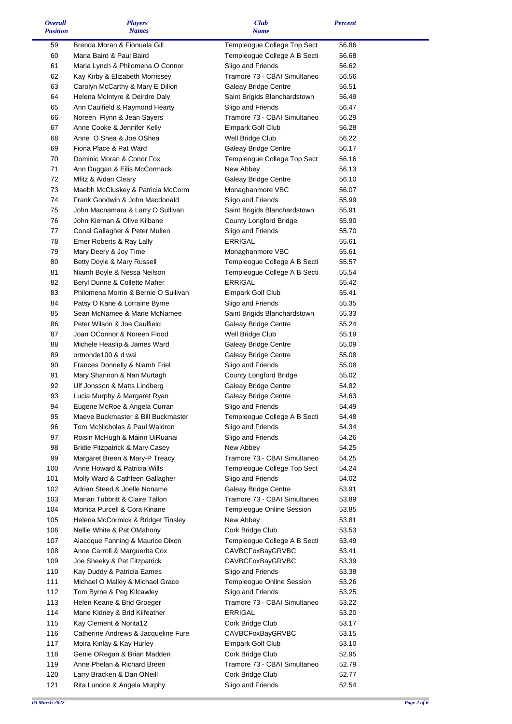| <b>Overall</b>  | Players'                             | Club                          | <b>Percent</b> |  |
|-----------------|--------------------------------------|-------------------------------|----------------|--|
| <b>Position</b> | <b>Names</b>                         | <b>Name</b>                   |                |  |
| 59              | Brenda Moran & Fionuala Gill         | Templeogue College Top Sect   | 56.86          |  |
| 60              | Maria Baird & Paul Baird             | Templeogue College A B Secti  | 56.68          |  |
| 61              | Maria Lynch & Philomena O Connor     | Sligo and Friends             | 56.62          |  |
| 62              | Kay Kirby & Elizabeth Morrissey      | Tramore 73 - CBAI Simultaneo  | 56.56          |  |
| 63              | Carolyn McCarthy & Mary E Dillon     | <b>Galeay Bridge Centre</b>   | 56.51          |  |
| 64              | Helena McIntyre & Deirdre Daly       | Saint Brigids Blanchardstown  | 56.49          |  |
| 65              | Ann Caulfield & Raymond Hearty       | Sligo and Friends             | 56.47          |  |
| 66              | Noreen Flynn & Jean Sayers           | Tramore 73 - CBAI Simultaneo  | 56.29          |  |
| 67              | Anne Cooke & Jennifer Kelly          | Elmpark Golf Club             | 56.28          |  |
| 68              | Anne O Shea & Joe OShea              | Well Bridge Club              | 56.22          |  |
| 69              | Fiona Place & Pat Ward               | Galeay Bridge Centre          | 56.17          |  |
| 70              | Dominic Moran & Conor Fox            | Templeogue College Top Sect   | 56.16          |  |
| 71              | Ann Duggan & Eilis McCormack         | New Abbey                     | 56.13          |  |
| 72              | Mfitz & Aidan Cleary                 | Galeay Bridge Centre          | 56.10          |  |
| 73              | Maebh McCluskey & Patricia McCorm    | Monaghanmore VBC              | 56.07          |  |
| 74              | Frank Goodwin & John Macdonald       | Sligo and Friends             | 55.99          |  |
| 75              | John Macnamara & Larry O Sullivan    | Saint Brigids Blanchardstown  | 55.91          |  |
| 76              | John Kiernan & Olive Kilbane         | County Longford Bridge        | 55.90          |  |
| 77              | Conal Gallagher & Peter Mullen       | Sligo and Friends             | 55.70          |  |
| 78              | Emer Roberts & Ray Lally             | <b>ERRIGAL</b>                | 55.61          |  |
| 79              | Mary Deery & Joy Time                | Monaghanmore VBC              | 55.61          |  |
| 80              | Betty Doyle & Mary Russell           | Templeogue College A B Secti  | 55.57          |  |
| 81              | Niamh Boyle & Nessa Neilson          | Templeogue College A B Secti  | 55.54          |  |
| 82              | Beryl Dunne & Collette Maher         | <b>ERRIGAL</b>                | 55.42          |  |
| 83              | Philomena Morrin & Bernie O Sullivan | Elmpark Golf Club             | 55.41          |  |
| 84              | Patsy O Kane & Lorraine Byrne        | Sligo and Friends             | 55.35          |  |
| 85              | Sean McNamee & Marie McNamee         | Saint Brigids Blanchardstown  | 55.33          |  |
| 86              | Peter Wilson & Joe Caulfield         | Galeay Bridge Centre          | 55.24          |  |
| 87              | Joan OConnor & Noreen Flood          | Well Bridge Club              | 55.19          |  |
| 88              | Michele Heaslip & James Ward         | Galeay Bridge Centre          | 55.09          |  |
| 89              | ormonde100 & d wal                   | Galeay Bridge Centre          | 55.08          |  |
| 90              | Frances Donnelly & Niamh Friel       | Sligo and Friends             | 55.08          |  |
| 91              | Mary Shannon & Nan Murtagh           | <b>County Longford Bridge</b> | 55.02          |  |
| 92              | Ulf Jonsson & Matts Lindberg         | Galeay Bridge Centre          | 54.82          |  |
| 93              | Lucia Murphy & Margaret Ryan         | Galeay Bridge Centre          | 54.63          |  |
| 94              | Eugene McRoe & Angela Curran         | Sligo and Friends             | 54.49          |  |
| 95              | Maeve Buckmaster & Bill Buckmaster   | Templeogue College A B Secti  | 54.48          |  |
| 96              | Tom McNicholas & Paul Waldron        | Sligo and Friends             | 54.34          |  |
| 97              | Roisin McHugh & Máirin UiRuanai      | Sligo and Friends             | 54.26          |  |
| 98              | Bridie Fitzpatrick & Mary Casey      | New Abbey                     | 54.25          |  |
| 99              | Margaret Breen & Mary-P Treacy       | Tramore 73 - CBAI Simultaneo  | 54.25          |  |
| 100             | Anne Howard & Patricia Wills         | Templeogue College Top Sect   | 54.24          |  |
| 101             | Molly Ward & Cathleen Gallagher      | Sligo and Friends             | 54.02          |  |
| 102             | Adrian Steed & Joelle Noname         | Galeay Bridge Centre          | 53.91          |  |
| 103             | Marian Tubbritt & Claire Tallon      | Tramore 73 - CBAI Simultaneo  | 53.89          |  |
| 104             | Monica Purcell & Cora Kinane         | Templeogue Online Session     | 53.85          |  |
| 105             | Helena McCormick & Bridget Tinsley   | New Abbey                     | 53.81          |  |
| 106             | Nellie White & Pat OMahony           | Cork Bridge Club              | 53.53          |  |
| 107             | Alacoque Fanning & Maurice Dixon     | Templeogue College A B Secti  | 53.49          |  |
| 108             | Anne Carroll & Marguerita Cox        | CAVBCFoxBayGRVBC              | 53.41          |  |
| 109             | Joe Sheeky & Pat Fitzpatrick         | <b>CAVBCFoxBayGRVBC</b>       | 53.39          |  |
| 110             | Kay Duddy & Patricia Eames           | Sligo and Friends             | 53.38          |  |
| 111             | Michael O Malley & Michael Grace     | Templeogue Online Session     | 53.26          |  |
| 112             | Tom Byrne & Peg Kilcawley            | Sligo and Friends             | 53.25          |  |
| 113             | Helen Keane & Brid Groeger           | Tramore 73 - CBAI Simultaneo  | 53.22          |  |
| 114             | Marie Kidney & Brid Kilfeather       | ERRIGAL                       | 53.20          |  |
| 115             | Kay Clement & Norita12               | Cork Bridge Club              | 53.17          |  |
| 116             | Catherine Andrews & Jacqueline Fure  | <b>CAVBCFoxBayGRVBC</b>       | 53.15          |  |
| 117             | Moira Kinlay & Kay Hurley            | Elmpark Golf Club             | 53.10          |  |
| 118             | Genie ORegan & Brian Madden          | Cork Bridge Club              | 52.95          |  |
| 119             | Anne Phelan & Richard Breen          | Tramore 73 - CBAI Simultaneo  | 52.79          |  |
| 120             | Larry Bracken & Dan ONeill           | Cork Bridge Club              | 52.77          |  |
| 121             | Rita Lundon & Angela Murphy          | Sligo and Friends             | 52.54          |  |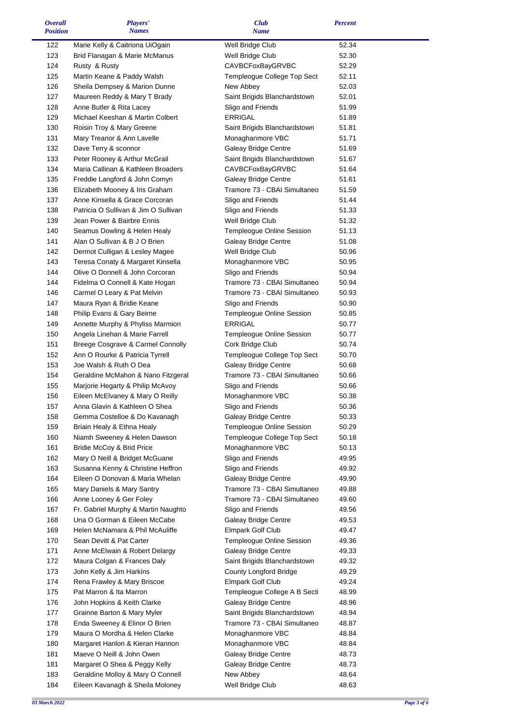| <b>Overall</b>  | Players'                             | <b>Club</b>                      | <b>Percent</b> |  |
|-----------------|--------------------------------------|----------------------------------|----------------|--|
| <b>Position</b> | <b>Names</b>                         | <b>Name</b>                      |                |  |
|                 |                                      |                                  | 52.34          |  |
| 122             | Marie Kelly & Caitriona UiOgain      | Well Bridge Club                 |                |  |
| 123             | Brid Flanagan & Marie McManus        | Well Bridge Club                 | 52.30          |  |
| 124             | Rusty & Rusty                        | CAVBCFoxBayGRVBC                 | 52.29          |  |
| 125             | Martin Keane & Paddy Walsh           | Templeogue College Top Sect      | 52.11          |  |
| 126             | Sheila Dempsey & Marion Dunne        | New Abbey                        | 52.03          |  |
| 127             | Maureen Reddy & Mary T Brady         | Saint Brigids Blanchardstown     | 52.01          |  |
|                 |                                      |                                  |                |  |
| 128             | Anne Butler & Rita Lacey             | Sligo and Friends                | 51.99          |  |
| 129             | Michael Keeshan & Martin Colbert     | <b>ERRIGAL</b>                   | 51.89          |  |
| 130             | Roisin Troy & Mary Greene            | Saint Brigids Blanchardstown     | 51.81          |  |
| 131             | Mary Treanor & Ann Lavelle           | Monaghanmore VBC                 | 51.71          |  |
| 132             | Dave Terry & sconnor                 | Galeay Bridge Centre             | 51.69          |  |
| 133             | Peter Rooney & Arthur McGrail        | Saint Brigids Blanchardstown     | 51.67          |  |
|                 |                                      |                                  |                |  |
| 134             | Maria Callinan & Kathleen Broaders   | CAVBCFoxBayGRVBC                 | 51.64          |  |
| 135             | Freddie Langford & John Comyn        | Galeay Bridge Centre             | 51.61          |  |
| 136             | Elizabeth Mooney & Iris Graham       | Tramore 73 - CBAI Simultaneo     | 51.59          |  |
| 137             | Anne Kinsella & Grace Corcoran       | Sligo and Friends                | 51.44          |  |
| 138             | Patricia O Sullivan & Jim O Sullivan | Sligo and Friends                | 51.33          |  |
| 139             | Jean Power & Bairbre Ennis           | Well Bridge Club                 | 51.32          |  |
|                 |                                      |                                  |                |  |
| 140             | Seamus Dowling & Helen Healy         | Templeogue Online Session        | 51.13          |  |
| 141             | Alan O Sullivan & B J O Brien        | Galeay Bridge Centre             | 51.08          |  |
| 142             | Dermot Culligan & Lesley Magee       | Well Bridge Club                 | 50.96          |  |
| 143             | Teresa Conaty & Margaret Kinsella    | Monaghanmore VBC                 | 50.95          |  |
| 144             | Olive O Donnell & John Corcoran      | Sligo and Friends                | 50.94          |  |
| 144             | Fidelma O Connell & Kate Hogan       | Tramore 73 - CBAI Simultaneo     | 50.94          |  |
|                 |                                      |                                  |                |  |
| 146             | Carmel O Leary & Pat Melvin          | Tramore 73 - CBAI Simultaneo     | 50.93          |  |
| 147             | Maura Ryan & Bridie Keane            | Sligo and Friends                | 50.90          |  |
| 148             | Philip Evans & Gary Beirne           | Templeogue Online Session        | 50.85          |  |
| 149             | Annette Murphy & Phyliss Marmion     | <b>ERRIGAL</b>                   | 50.77          |  |
| 150             | Angela Linehan & Marie Farrell       | Templeogue Online Session        | 50.77          |  |
| 151             | Breege Cosgrave & Carmel Connolly    | Cork Bridge Club                 | 50.74          |  |
|                 |                                      |                                  |                |  |
| 152             | Ann O Rourke & Patricia Tyrrell      | Templeogue College Top Sect      | 50.70          |  |
| 153             | Joe Walsh & Ruth O Dea               | Galeay Bridge Centre             | 50.68          |  |
| 154             | Geraldine McMahon & Nano Fitzgeral   | Tramore 73 - CBAI Simultaneo     | 50.66          |  |
| 155             | Marjorie Hegarty & Philip McAvoy     | Sligo and Friends                | 50.66          |  |
| 156             | Eileen McElvaney & Mary O Reilly     | Monaghanmore VBC                 | 50.38          |  |
| 157             | Anna Glavin & Kathleen O Shea        | Sligo and Friends                | 50.36          |  |
|                 |                                      | Galeay Bridge Centre             |                |  |
| 158             | Gemma Costelloe & Do Kavanagh        |                                  | 50.33          |  |
| 159             | Briain Healy & Ethna Healy           | <b>Templeogue Online Session</b> | 50.29          |  |
| 160             | Niamh Sweeney & Helen Dawson         | Templeogue College Top Sect      | 50.18          |  |
| 161             | Bridie McCoy & Brid Price            | Monaghanmore VBC                 | 50.13          |  |
| 162             | Mary O Neill & Bridget McGuane       | Sligo and Friends                | 49.95          |  |
| 163             | Susanna Kenny & Christine Heffron    | Sligo and Friends                | 49.92          |  |
| 164             | Eileen O Donovan & Maria Whelan      |                                  |                |  |
|                 |                                      | Galeay Bridge Centre             | 49.90          |  |
| 165             | Mary Daniels & Mary Santry           | Tramore 73 - CBAI Simultaneo     | 49.88          |  |
| 166             | Anne Looney & Ger Foley              | Tramore 73 - CBAI Simultaneo     | 49.60          |  |
| 167             | Fr. Gabriel Murphy & Martin Naughto  | Sligo and Friends                | 49.56          |  |
| 168             | Una O Gorman & Eileen McCabe         | Galeay Bridge Centre             | 49.53          |  |
| 169             | Helen McNamara & Phil McAuliffe      | Elmpark Golf Club                | 49.47          |  |
| 170             | Sean Devitt & Pat Carter             | Templeogue Online Session        | 49.36          |  |
|                 |                                      |                                  |                |  |
| 171             | Anne McElwain & Robert Delargy       | Galeay Bridge Centre             | 49.33          |  |
| 172             | Maura Colgan & Frances Daly          | Saint Brigids Blanchardstown     | 49.32          |  |
| 173             | John Kelly & Jim Harkins             | <b>County Longford Bridge</b>    | 49.29          |  |
| 174             | Rena Frawley & Mary Briscoe          | Elmpark Golf Club                | 49.24          |  |
| 175             | Pat Marron & Ita Marron              | Templeogue College A B Secti     | 48.99          |  |
| 176             | John Hopkins & Keith Clarke          | Galeay Bridge Centre             | 48.96          |  |
|                 |                                      |                                  |                |  |
| 177             | Grainne Barton & Mary Myler          | Saint Brigids Blanchardstown     | 48.94          |  |
| 178             | Enda Sweeney & Elinor O Brien        | Tramore 73 - CBAI Simultaneo     | 48.87          |  |
| 179             | Maura O Mordha & Helen Clarke        | Monaghanmore VBC                 | 48.84          |  |
| 180             | Margaret Hanlon & Kieran Hannon      | Monaghanmore VBC                 | 48.84          |  |
| 181             | Maeve O Neill & John Owen            | Galeay Bridge Centre             | 48.73          |  |
| 181             | Margaret O Shea & Peggy Kelly        | Galeay Bridge Centre             | 48.73          |  |
| 183             | Geraldine Molloy & Mary O Connell    | New Abbey                        | 48.64          |  |
|                 |                                      |                                  |                |  |
| 184             | Eileen Kavanagh & Sheila Moloney     | Well Bridge Club                 | 48.63          |  |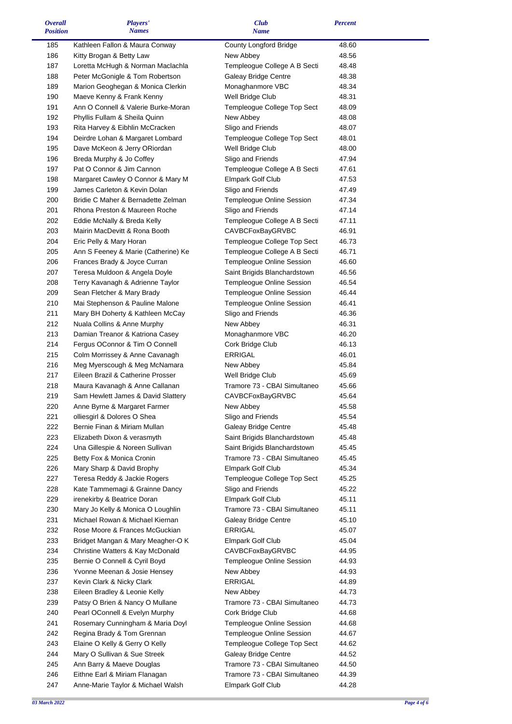| <b>Overall</b>  | Players'                            | Club                                                         | <b>Percent</b> |  |
|-----------------|-------------------------------------|--------------------------------------------------------------|----------------|--|
| <b>Position</b> | <b>Names</b>                        | <b>Name</b>                                                  |                |  |
| 185             | Kathleen Fallon & Maura Conway      | County Longford Bridge                                       | 48.60          |  |
| 186             | Kitty Brogan & Betty Law            | New Abbey                                                    | 48.56          |  |
| 187             | Loretta McHugh & Norman Maclachla   | Templeogue College A B Secti                                 | 48.48          |  |
| 188             | Peter McGonigle & Tom Robertson     | Galeay Bridge Centre                                         | 48.38          |  |
| 189             | Marion Geoghegan & Monica Clerkin   | Monaghanmore VBC                                             | 48.34          |  |
| 190             | Maeve Kenny & Frank Kenny           | Well Bridge Club                                             | 48.31          |  |
| 191             | Ann O Connell & Valerie Burke-Moran | Templeogue College Top Sect                                  | 48.09          |  |
| 192             | Phyllis Fullam & Sheila Quinn       | New Abbey                                                    | 48.08          |  |
| 193             | Rita Harvey & Eibhlin McCracken     | Sligo and Friends                                            | 48.07          |  |
| 194             | Deirdre Lohan & Margaret Lombard    |                                                              |                |  |
|                 |                                     | Templeogue College Top Sect                                  | 48.01          |  |
| 195             | Dave McKeon & Jerry ORiordan        | Well Bridge Club                                             | 48.00          |  |
| 196             | Breda Murphy & Jo Coffey            | Sligo and Friends                                            | 47.94          |  |
| 197             | Pat O Connor & Jim Cannon           | Templeogue College A B Secti                                 | 47.61          |  |
| 198             | Margaret Cawley O Connor & Mary M   | Elmpark Golf Club                                            | 47.53          |  |
| 199             | James Carleton & Kevin Dolan        | Sligo and Friends                                            | 47.49          |  |
| 200             | Bridie C Maher & Bernadette Zelman  | Templeogue Online Session                                    | 47.34          |  |
| 201             | Rhona Preston & Maureen Roche       | Sligo and Friends                                            | 47.14          |  |
| 202             | Eddie McNally & Breda Kelly         | Templeogue College A B Secti                                 | 47.11          |  |
| 203             | Mairin MacDevitt & Rona Booth       | <b>CAVBCFoxBayGRVBC</b>                                      | 46.91          |  |
| 204             | Eric Pelly & Mary Horan             | Templeogue College Top Sect                                  | 46.73          |  |
| 205             | Ann S Feeney & Marie (Catherine) Ke | Templeogue College A B Secti                                 | 46.71          |  |
| 206             | Frances Brady & Joyce Curran        | Templeogue Online Session                                    | 46.60          |  |
| 207             | Teresa Muldoon & Angela Doyle       | Saint Brigids Blanchardstown                                 | 46.56          |  |
| 208             | Terry Kavanagh & Adrienne Taylor    | Templeogue Online Session                                    | 46.54          |  |
| 209             | Sean Fletcher & Mary Brady          | Templeogue Online Session                                    | 46.44          |  |
| 210             | Mai Stephenson & Pauline Malone     | Templeogue Online Session                                    | 46.41          |  |
| 211             | Mary BH Doherty & Kathleen McCay    | Sligo and Friends                                            | 46.36          |  |
| 212             | Nuala Collins & Anne Murphy         | New Abbey                                                    | 46.31          |  |
| 213             | Damian Treanor & Katriona Casey     | Monaghanmore VBC                                             | 46.20          |  |
| 214             | Fergus OConnor & Tim O Connell      | Cork Bridge Club                                             | 46.13          |  |
| 215             | Colm Morrissey & Anne Cavanagh      | ERRIGAL                                                      | 46.01          |  |
| 216             | Meg Myerscough & Meg McNamara       | New Abbey                                                    | 45.84          |  |
| 217             | Eileen Brazil & Catherine Prosser   | Well Bridge Club                                             | 45.69          |  |
| 218             | Maura Kavanagh & Anne Callanan      | Tramore 73 - CBAI Simultaneo                                 | 45.66          |  |
| 219             | Sam Hewlett James & David Slattery  | <b>CAVBCFoxBayGRVBC</b>                                      | 45.64          |  |
| 220             | Anne Byrne & Margaret Farmer        | New Abbey                                                    | 45.58          |  |
| 221             | olliesgirl & Dolores O Shea         | Sligo and Friends                                            | 45.54          |  |
| 222             | Bernie Finan & Miriam Mullan        | Galeay Bridge Centre                                         | 45.48          |  |
| 223             | Elizabeth Dixon & verasmyth         | Saint Brigids Blanchardstown                                 | 45.48          |  |
| 224             | Una Gillespie & Noreen Sullivan     |                                                              |                |  |
|                 |                                     | Saint Brigids Blanchardstown<br>Tramore 73 - CBAI Simultaneo | 45.45          |  |
| 225             | Betty Fox & Monica Cronin           |                                                              | 45.45          |  |
| 226             | Mary Sharp & David Brophy           | <b>Elmpark Golf Club</b>                                     | 45.34          |  |
| 227             | Teresa Reddy & Jackie Rogers        | Templeogue College Top Sect                                  | 45.25          |  |
| 228             | Kate Tammemagi & Grainne Dancy      | Sligo and Friends                                            | 45.22          |  |
| 229             | irenekirby & Beatrice Doran         | Elmpark Golf Club                                            | 45.11          |  |
| 230             | Mary Jo Kelly & Monica O Loughlin   | Tramore 73 - CBAI Simultaneo                                 | 45.11          |  |
| 231             | Michael Rowan & Michael Kiernan     | Galeay Bridge Centre                                         | 45.10          |  |
| 232             | Rose Moore & Frances McGuckian      | ERRIGAL                                                      | 45.07          |  |
| 233             | Bridget Mangan & Mary Meagher-OK    | <b>Elmpark Golf Club</b>                                     | 45.04          |  |
| 234             | Christine Watters & Kay McDonald    | CAVBCFoxBayGRVBC                                             | 44.95          |  |
| 235             | Bernie O Connell & Cyril Boyd       | Templeogue Online Session                                    | 44.93          |  |
| 236             | Yvonne Meenan & Josie Hensey        | New Abbey                                                    | 44.93          |  |
| 237             | Kevin Clark & Nicky Clark           | <b>ERRIGAL</b>                                               | 44.89          |  |
| 238             | Eileen Bradley & Leonie Kelly       | New Abbey                                                    | 44.73          |  |
| 239             | Patsy O Brien & Nancy O Mullane     | Tramore 73 - CBAI Simultaneo                                 | 44.73          |  |
| 240             | Pearl OConnell & Evelyn Murphy      | Cork Bridge Club                                             | 44.68          |  |
| 241             | Rosemary Cunningham & Maria Doyl    | Templeogue Online Session                                    | 44.68          |  |
| 242             | Regina Brady & Tom Grennan          | Templeogue Online Session                                    | 44.67          |  |
| 243             | Elaine O Kelly & Gerry O Kelly      | Templeogue College Top Sect                                  | 44.62          |  |
| 244             | Mary O Sullivan & Sue Streek        | Galeay Bridge Centre                                         | 44.52          |  |
| 245             | Ann Barry & Maeve Douglas           | Tramore 73 - CBAI Simultaneo                                 | 44.50          |  |
| 246             | Eithne Earl & Miriam Flanagan       | Tramore 73 - CBAI Simultaneo                                 | 44.39          |  |
| 247             | Anne-Marie Taylor & Michael Walsh   | <b>Elmpark Golf Club</b>                                     | 44.28          |  |

 $\blacksquare$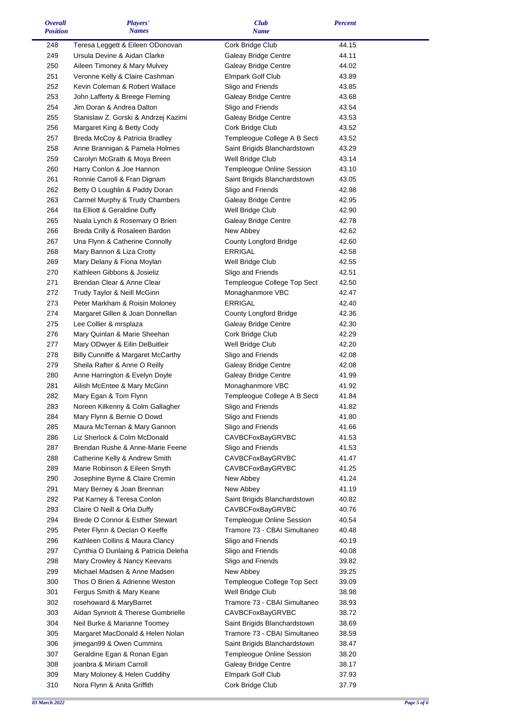| <b>Overall</b><br><b>Position</b> | Players'<br><b>Names</b>                                 | <b>Club</b><br><b>Name</b>                | <b>Percent</b> |  |
|-----------------------------------|----------------------------------------------------------|-------------------------------------------|----------------|--|
| 248                               | Teresa Leggett & Eileen ODonovan                         | Cork Bridge Club                          | 44.15          |  |
| 249                               | Ursula Devine & Aidan Clarke                             | Galeay Bridge Centre                      | 44.11          |  |
| 250                               | Aileen Timoney & Mary Mulvey                             | Galeay Bridge Centre                      | 44.02          |  |
| 251                               | Veronne Kelly & Claire Cashman                           | Elmpark Golf Club                         | 43.89          |  |
| 252                               | Kevin Coleman & Robert Wallace                           | Sligo and Friends                         | 43.85          |  |
| 253                               | John Lafferty & Breege Fleming                           | Galeay Bridge Centre                      | 43.68          |  |
| 254                               | Jim Doran & Andrea Dalton                                | Sligo and Friends                         | 43.54          |  |
| 255                               | Stanislaw Z. Gorski & Andrzej Kazimi                     | Galeay Bridge Centre                      | 43.53          |  |
| 256                               | Margaret King & Betty Cody                               | Cork Bridge Club                          | 43.52          |  |
| 257                               | Breda McCoy & Patricia Bradley                           | Templeogue College A B Secti              | 43.52          |  |
| 258                               | Anne Brannigan & Pamela Holmes                           | Saint Brigids Blanchardstown              | 43.29          |  |
| 259                               | Carolyn McGrath & Moya Breen                             | Well Bridge Club                          | 43.14          |  |
| 260                               | Harry Conlon & Joe Hannon                                | Templeogue Online Session                 | 43.10          |  |
| 261                               | Ronnie Carroll & Fran Dignam                             | Saint Brigids Blanchardstown              | 43.05          |  |
| 262                               | Betty O Loughlin & Paddy Doran                           | Sligo and Friends                         | 42.98          |  |
| 263                               | Carmel Murphy & Trudy Chambers                           | Galeay Bridge Centre                      | 42.95          |  |
| 264                               | Ita Elliott & Geraldine Duffy                            | Well Bridge Club                          | 42.90          |  |
| 265                               | Nuala Lynch & Rosemary O Brien                           | Galeay Bridge Centre                      | 42.78          |  |
| 266                               | Breda Crilly & Rosaleen Bardon                           | New Abbey                                 | 42.62          |  |
| 267                               | Una Flynn & Catherine Connolly                           | <b>County Longford Bridge</b>             | 42.60          |  |
| 268                               | Mary Bannon & Liza Crotty                                | ERRIGAL                                   | 42.58          |  |
| 269                               | Mary Delany & Fiona Moylan                               | Well Bridge Club                          | 42.55          |  |
| 270                               | Kathleen Gibbons & Josieliz                              | Sligo and Friends                         | 42.51          |  |
| 271                               | Brendan Clear & Anne Clear                               | Templeogue College Top Sect               | 42.50          |  |
| 272                               | Trudy Taylor & Neill McGinn                              | Monaghanmore VBC                          | 42.47          |  |
| 273                               | Peter Markham & Roisin Moloney                           | ERRIGAL                                   | 42.40          |  |
| 274                               | Margaret Gillen & Joan Donnellan                         | County Longford Bridge                    | 42.36          |  |
| 275                               | Lee Collier & mrsplaza                                   | Galeay Bridge Centre                      | 42.30          |  |
| 276                               | Mary Quinlan & Marie Sheehan                             | Cork Bridge Club                          | 42.29          |  |
| 277                               | Mary ODwyer & Eilin DeBuitleir                           | Well Bridge Club                          | 42.20          |  |
| 278                               | Billy Cunniffe & Margaret McCarthy                       | Sligo and Friends                         | 42.08          |  |
| 279                               | Sheila Rafter & Anne O Reilly                            | Galeay Bridge Centre                      | 42.08          |  |
| 280                               | Anne Harrington & Evelyn Doyle                           | Galeay Bridge Centre                      | 41.99          |  |
| 281                               | Ailish McEntee & Mary McGinn                             | Monaghanmore VBC                          | 41.92          |  |
| 282                               | Mary Egan & Tom Flynn                                    | Templeogue College A B Secti              | 41.84          |  |
| 283                               | Noreen Kilkenny & Colm Gallagher                         | Sligo and Friends                         | 41.82          |  |
| 284                               | Mary Flynn & Bernie O Dowd                               | Sligo and Friends                         | 41.80          |  |
| 285                               | Maura McTernan & Mary Gannon                             | Sligo and Friends                         | 41.66          |  |
| 286                               | Liz Sherlock & Colm McDonald                             | <b>CAVBCFoxBayGRVBC</b>                   | 41.53          |  |
| 287                               | Brendan Rushe & Anne-Marie Feene                         | Sligo and Friends                         | 41.53          |  |
| 288                               | Catherine Kelly & Andrew Smith                           | CAVBCFoxBayGRVBC<br>CAVBCFoxBayGRVBC      | 41.47          |  |
| 289                               | Marie Robinson & Eileen Smyth                            |                                           | 41.25          |  |
| 290<br>291                        | Josephine Byrne & Claire Cremin                          | New Abbey                                 | 41.24<br>41.19 |  |
| 292                               | Mary Berney & Joan Brennan<br>Pat Karney & Teresa Conlon | New Abbey<br>Saint Brigids Blanchardstown | 40.82          |  |
| 293                               | Claire O Neill & Orla Duffy                              | <b>CAVBCFoxBayGRVBC</b>                   | 40.76          |  |
| 294                               | Brede O Connor & Esther Stewart                          | Templeogue Online Session                 | 40.54          |  |
| 295                               | Peter Flynn & Declan O Keeffe                            | Tramore 73 - CBAI Simultaneo              | 40.48          |  |
| 296                               | Kathleen Collins & Maura Clancy                          | Sligo and Friends                         | 40.19          |  |
| 297                               | Cynthia O Dunlaing & Patricia Deleha                     | Sligo and Friends                         | 40.08          |  |
| 298                               | Mary Crowley & Nancy Keevans                             | Sligo and Friends                         | 39.82          |  |
| 299                               | Michael Madsen & Anne Madsen                             | New Abbey                                 | 39.25          |  |
| 300                               | Thos O Brien & Adrienne Weston                           | Templeogue College Top Sect               | 39.09          |  |
| 301                               | Fergus Smith & Mary Keane                                | Well Bridge Club                          | 38.98          |  |
| 302                               | rosehoward & MaryBarret                                  | Tramore 73 - CBAI Simultaneo              | 38.93          |  |
| 303                               | Aidan Synnott & Therese Gumbrielle                       | CAVBCFoxBayGRVBC                          | 38.72          |  |
| 304                               | Neil Burke & Marianne Toomey                             | Saint Brigids Blanchardstown              | 38.69          |  |
| 305                               | Margaret MacDonald & Helen Nolan                         | Tramore 73 - CBAI Simultaneo              | 38.59          |  |
| 306                               | jimegan99 & Owen Cummins                                 | Saint Brigids Blanchardstown              | 38.47          |  |
| 307                               | Geraldine Egan & Ronan Egan                              | Templeogue Online Session                 | 38.20          |  |
| 308                               | joanbra & Miriam Carroll                                 | Galeay Bridge Centre                      | 38.17          |  |
| 309                               | Mary Moloney & Helen Cuddihy                             | Elmpark Golf Club                         | 37.93          |  |
| 310                               | Nora Flynn & Anita Griffith                              | Cork Bridge Club                          | 37.79          |  |

 $\blacksquare$